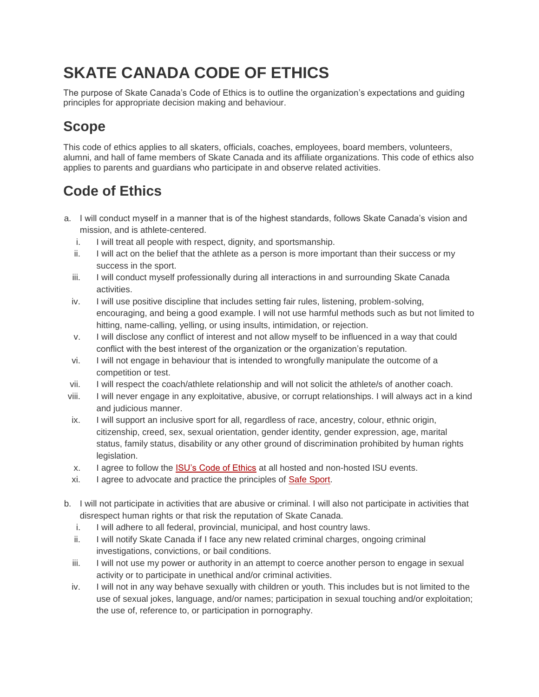## **SKATE CANADA CODE OF ETHICS**

**The purpose of Skate Canada's Code of Ethics is to outline the organization's expectations and guiding principles for appropriate decision making and behaviour.**

## **Scope**

**This code of ethics applies to all skaters, officials, coaches, employees, board members, volunteers, alumni, and hall of fame members of Skate Canada and its affiliate organizations. This code of ethics also applies to parents and guardians who participate in and observe related activities.**

## **Code of Ethics**

- **a. I will conduct myself in a manner that is of the highest standards, follows Skate Canada's vision and mission, and is athlete-centered.**
	- **i. I will treat all people with respect, dignity, and sportsmanship.**
	- **ii. I will act on the belief that the athlete as a person is more important than their success or my success in the sport.**
	- **iii. I will conduct myself professionally during all interactions in and surrounding Skate Canada activities.**
	- **iv. I will use positive discipline that includes setting fair rules, listening, problem-solving, encouraging, and being a good example. I will not use harmful methods such as but not limited to hitting, name-calling, yelling, or using insults, intimidation, or rejection.**
	- **v. I will disclose any conflict of interest and not allow myself to be influenced in a way that could conflict with the best interest of the organization or the organization's reputation.**
	- **vi. I will not engage in behaviour that is intended to wrongfully manipulate the outcome of a competition or test.**
	- **vii. I will respect the coach/athlete relationship and will not solicit the athlete/s of another coach.**
- **viii. I will never engage in any exploitative, abusive, or corrupt relationships. I will always act in a kind and judicious manner.**
- **ix. I will support an inclusive sport for all, regardless of race, ancestry, colour, ethnic origin, citizenship, creed, sex, sexual orientation, gender identity, gender expression, age, marital status, family status, disability or any other ground of discrimination prohibited by human rights legislation.**
- **x. I agree to follow the [ISU's Code of Ethics](http://www.isu.org/docman-documents-links/import/media-4/isu-communications-1/2017-6/06/12939-2104-isu-code-of-ethics-2017/file) at all hosted and non-hosted ISU events.**
- **xi. I agree to advocate and practice the principles of [Safe Sport.](https://skatecanada.ca/safe-sport/)**
- **b. I will not participate in activities that are abusive or criminal. I will also not participate in activities that disrespect human rights or that risk the reputation of Skate Canada.**
	- **i. I will adhere to all federal, provincial, municipal, and host country laws.**
	- **ii. I will notify Skate Canada if I face any new related criminal charges, ongoing criminal investigations, convictions, or bail conditions.**
	- **iii. I will not use my power or authority in an attempt to coerce another person to engage in sexual activity or to participate in unethical and/or criminal activities.**
	- **iv. I will not in any way behave sexually with children or youth. This includes but is not limited to the use of sexual jokes, language, and/or names; participation in sexual touching and/or exploitation; the use of, reference to, or participation in pornography.**